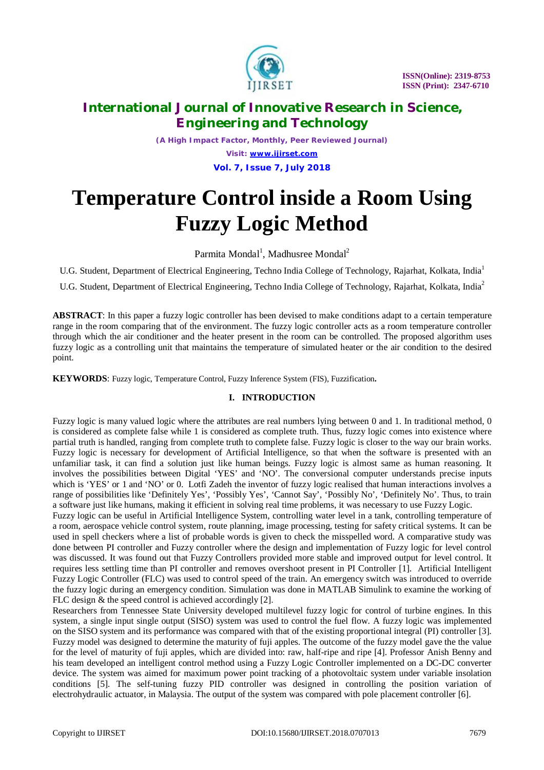

*(A High Impact Factor, Monthly, Peer Reviewed Journal) Visit: [www.ijirset.com](http://www.ijirset.com)* **Vol. 7, Issue 7, July 2018**

# **Temperature Control inside a Room Using Fuzzy Logic Method**

Parmita Mondal<sup>1</sup>, Madhusree Mondal<sup>2</sup>

U.G. Student, Department of Electrical Engineering, Techno India College of Technology, Rajarhat, Kolkata, India<sup>1</sup>

U.G. Student, Department of Electrical Engineering, Techno India College of Technology, Rajarhat, Kolkata, India<sup>2</sup>

**ABSTRACT**: In this paper a fuzzy logic controller has been devised to make conditions adapt to a certain temperature range in the room comparing that of the environment. The fuzzy logic controller acts as a room temperature controller through which the air conditioner and the heater present in the room can be controlled. The proposed algorithm uses fuzzy logic as a controlling unit that maintains the temperature of simulated heater or the air condition to the desired point.

**KEYWORDS**: Fuzzy logic, Temperature Control, Fuzzy Inference System (FIS), Fuzzification**.**

### **I. INTRODUCTION**

Fuzzy logic is many valued logic where the attributes are real numbers lying between 0 and 1. In traditional method, 0 is considered as complete false while 1 is considered as complete truth. Thus, fuzzy logic comes into existence where partial truth is handled, ranging from complete truth to complete false. Fuzzy logic is closer to the way our brain works. Fuzzy logic is necessary for development of Artificial Intelligence, so that when the software is presented with an unfamiliar task, it can find a solution just like human beings. Fuzzy logic is almost same as human reasoning. It involves the possibilities between Digital 'YES' and 'NO'. The conversional computer understands precise inputs which is 'YES' or 1 and 'NO' or 0. Lotfi Zadeh the inventor of fuzzy logic realised that human interactions involves a range of possibilities like 'Definitely Yes', 'Possibly Yes', 'Cannot Say', 'Possibly No', 'Definitely No'. Thus, to train a software just like humans, making it efficient in solving real time problems, it was necessary to use Fuzzy Logic.

Fuzzy logic can be useful in Artificial Intelligence System, controlling water level in a tank, controlling temperature of a room, aerospace vehicle control system, route planning, image processing, testing for safety critical systems. It can be used in spell checkers where a list of probable words is given to check the misspelled word. A comparative study was done between PI controller and Fuzzy controller where the design and implementation of Fuzzy logic for level control was discussed. It was found out that Fuzzy Controllers provided more stable and improved output for level control. It requires less settling time than PI controller and removes overshoot present in PI Controller [1]. Artificial Intelligent Fuzzy Logic Controller (FLC) was used to control speed of the train. An emergency switch was introduced to override the fuzzy logic during an emergency condition. Simulation was done in MATLAB Simulink to examine the working of FLC design & the speed control is achieved accordingly [2].

Researchers from Tennessee State University developed multilevel fuzzy logic for control of turbine engines. In this system, a single input single output (SISO) system was used to control the fuel flow. A fuzzy logic was implemented on the SISO system and its performance was compared with that of the existing proportional integral (PI) controller [3]. Fuzzy model was designed to determine the maturity of fuji apples. The outcome of the fuzzy model gave the the value for the level of maturity of fuji apples, which are divided into: raw, half-ripe and ripe [4]. Professor Anish Benny and his team developed an intelligent control method using a Fuzzy Logic Controller implemented on a DC-DC converter device. The system was aimed for maximum power point tracking of a photovoltaic system under variable insolation conditions [5]. The self-tuning fuzzy PID controller was designed in controlling the position variation of electrohydraulic actuator, in Malaysia. The output of the system was compared with pole placement controller [6].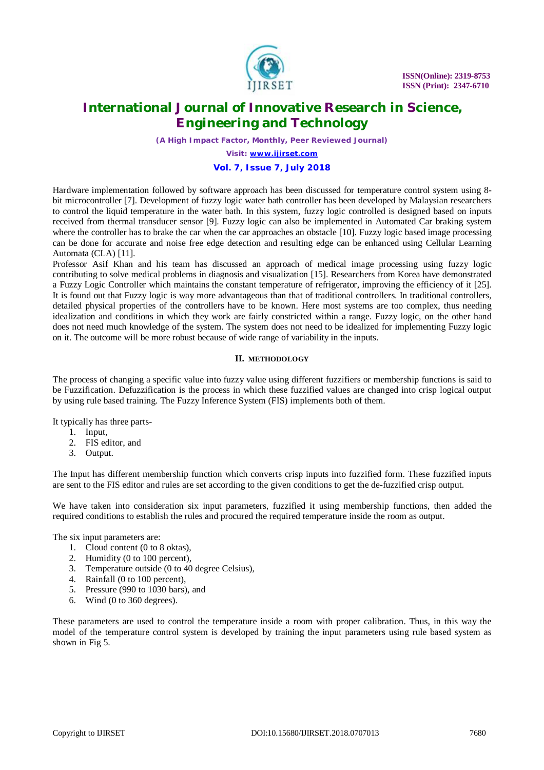

*(A High Impact Factor, Monthly, Peer Reviewed Journal)*

*Visit: [www.ijirset.com](http://www.ijirset.com)*

### **Vol. 7, Issue 7, July 2018**

Hardware implementation followed by software approach has been discussed for temperature control system using 8 bit microcontroller [7]. Development of fuzzy logic water bath controller has been developed by Malaysian researchers to control the liquid temperature in the water bath. In this system, fuzzy logic controlled is designed based on inputs received from thermal transducer sensor [9]. Fuzzy logic can also be implemented in Automated Car braking system where the controller has to brake the car when the car approaches an obstacle [10]. Fuzzy logic based image processing can be done for accurate and noise free edge detection and resulting edge can be enhanced using Cellular Learning Automata (CLA) [11].

Professor Asif Khan and his team has discussed an approach of medical image processing using fuzzy logic contributing to solve medical problems in diagnosis and visualization [15]. Researchers from Korea have demonstrated a Fuzzy Logic Controller which maintains the constant temperature of refrigerator, improving the efficiency of it [25]. It is found out that Fuzzy logic is way more advantageous than that of traditional controllers. In traditional controllers, detailed physical properties of the controllers have to be known. Here most systems are too complex, thus needing idealization and conditions in which they work are fairly constricted within a range. Fuzzy logic, on the other hand does not need much knowledge of the system. The system does not need to be idealized for implementing Fuzzy logic on it. The outcome will be more robust because of wide range of variability in the inputs.

#### **II. METHODOLOGY**

The process of changing a specific value into fuzzy value using different fuzzifiers or membership functions is said to be Fuzzification. Defuzzification is the process in which these fuzzified values are changed into crisp logical output by using rule based training. The Fuzzy Inference System (FIS) implements both of them.

It typically has three parts-

- 1. Input,
- 2. FIS editor, and
- 3. Output.

The Input has different membership function which converts crisp inputs into fuzzified form. These fuzzified inputs are sent to the FIS editor and rules are set according to the given conditions to get the de-fuzzified crisp output.

We have taken into consideration six input parameters, fuzzified it using membership functions, then added the required conditions to establish the rules and procured the required temperature inside the room as output.

The six input parameters are:

- 1. Cloud content (0 to 8 oktas),
- 2. Humidity (0 to 100 percent),
- 3. Temperature outside (0 to 40 degree Celsius),
- 4. Rainfall (0 to 100 percent),
- 5. Pressure (990 to 1030 bars), and
- 6. Wind (0 to 360 degrees).

These parameters are used to control the temperature inside a room with proper calibration. Thus, in this way the model of the temperature control system is developed by training the input parameters using rule based system as shown in Fig 5.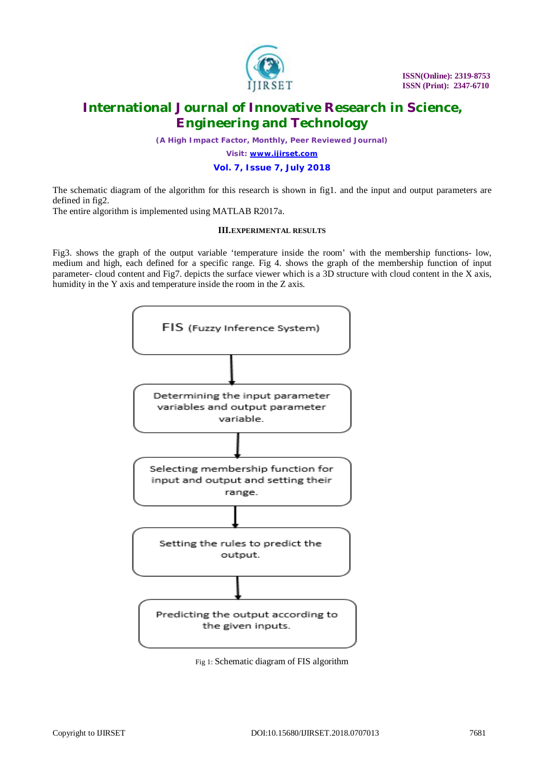

*(A High Impact Factor, Monthly, Peer Reviewed Journal)*

*Visit: [www.ijirset.com](http://www.ijirset.com)*

#### **Vol. 7, Issue 7, July 2018**

The schematic diagram of the algorithm for this research is shown in fig1. and the input and output parameters are defined in fig2.

The entire algorithm is implemented using MATLAB R2017a.

#### **III.EXPERIMENTAL RESULTS**

Fig3. shows the graph of the output variable 'temperature inside the room' with the membership functions- low, medium and high, each defined for a specific range. Fig 4. shows the graph of the membership function of input parameter- cloud content and Fig7. depicts the surface viewer which is a 3D structure with cloud content in the X axis, humidity in the Y axis and temperature inside the room in the Z axis.



Fig 1: Schematic diagram of FIS algorithm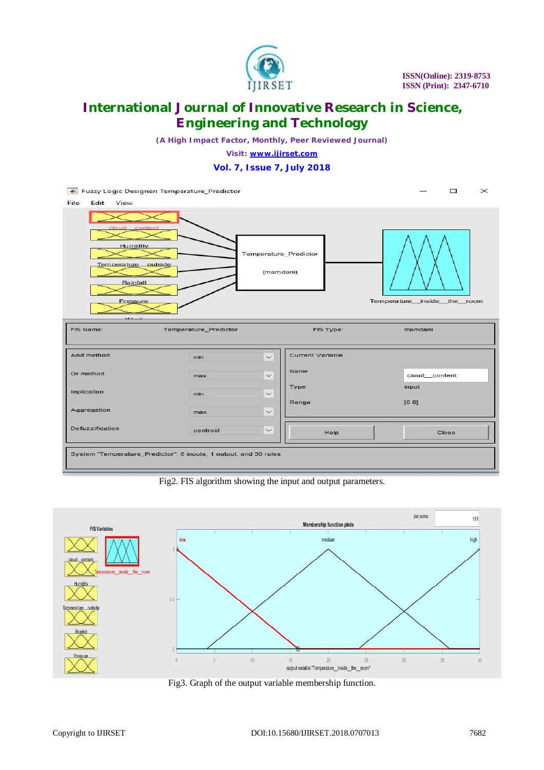

*(A High Impact Factor, Monthly, Peer Reviewed Journal)*

*Visit: [www.ijirset.com](http://www.ijirset.com)*

**Vol. 7, Issue 7, July 2018**

 $\Box$ Fuzzy Logic Designer: Temperature\_Predictor  $\times$ File Edit View Humidity Temperature\_Predictor Temperature outside (mamdani) Rainfall Pressure Temperature inside the room FIS Name: FIS Type: Temperature\_Predictor mamdani And method Current Variable  $\check{}$ min Name Or method cloud\_content  $\check{~}$ max Type input Implication  $\overline{\phantom{0}}$ min Range  $[0 8]$ Aggregation  $\checkmark$ max Defuzzification centroid  $\ddot{\phantom{1}}$ Help Close System "Temperature\_Predictor": 6 inputs, 1 output, and 30 rules

Fig2. FIS algorithm showing the input and output parameters.



Fig3. Graph of the output variable membership function.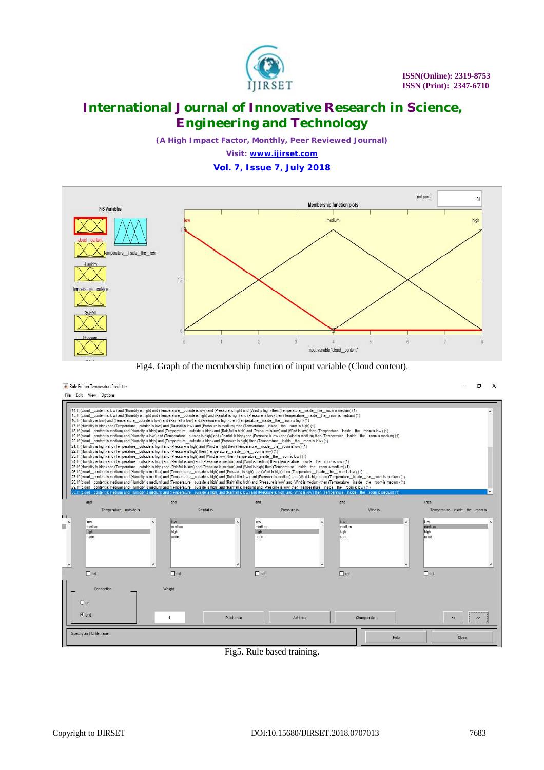

*(A High Impact Factor, Monthly, Peer Reviewed Journal)*

*Visit: [www.ijirset.com](http://www.ijirset.com)* **Vol. 7, Issue 7, July 2018**



Fig4. Graph of the membership function of input variable (Cloud content).

#### Rule Editor: TemperaturePredictor

 $\Box$  $\times$ 



Fig5. Rule based training.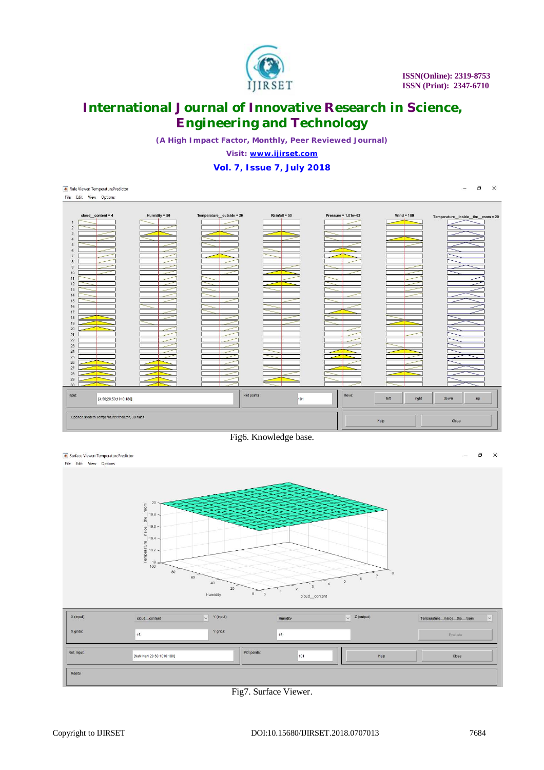

*(A High Impact Factor, Monthly, Peer Reviewed Journal)*

*Visit: [www.ijirset.com](http://www.ijirset.com)*

**Vol. 7, Issue 7, July 2018**



Fig6. Knowledge base.

| Surface Viewer: TemperaturePredictor<br>File Edit View Options |                                                                                                                                                                                                                             |                                                               |                                      |                            |                             | - | $\Box$     | $\times$ |
|----------------------------------------------------------------|-----------------------------------------------------------------------------------------------------------------------------------------------------------------------------------------------------------------------------|---------------------------------------------------------------|--------------------------------------|----------------------------|-----------------------------|---|------------|----------|
|                                                                | room<br>$19.8 -$<br>the<br>$\begin{array}{c c}\n & 19.6 \\ \hline\n\frac{1}{10} & \\  & \ddots\n\end{array}$<br>$19.4 -$<br>$\begin{bmatrix}\n\text{Temperature} \\ \text{19.2} \\ \text{19.3}\n\end{bmatrix}$<br>100<br>80 | 60<br>40<br>20                                                | $\asymp$                             | $\boldsymbol{8}$<br>6<br>5 |                             |   |            |          |
| X (input):                                                     | cloud_content                                                                                                                                                                                                               | $\circ$<br>Humidity<br>Y (input):<br>$\vert \downarrow \vert$ | $\circ$<br>cloud_content<br>Humidity | $\vee$ Z (output):         | Temperature_inside_the_room |   | $\backsim$ |          |

| X (input):  | cloud_content            | $\vee$ Y (input): | Humidity | $\sqrt{Z}$ (output): | Temperature inside the room<br>$\checkmark$ |
|-------------|--------------------------|-------------------|----------|----------------------|---------------------------------------------|
| X grids:    | 15                       | Y grids:          | 15       |                      | Evaluate                                    |
| Ref. Input: | [NaN NaN 20 50 1010 180] | Plot points:      | 101      | Help                 | Close                                       |
| Ready       |                          |                   |          |                      |                                             |

Fig7. Surface Viewer.